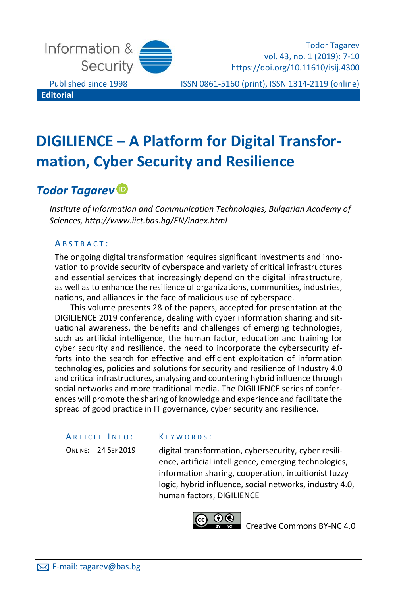

Todor Tagarev vol. 43, no. 1 (2019): 7-10 https://doi.org/10.11610/isij.4300

Published since 1998 ISSN 0861-5160 (print), ISSN 1314-2119 (online)

# **DIGILIENCE – A Platform for Digital Transformation, Cyber Security and Resilience**

# *Todor Tagarev*

*Institute of Information and Communication Technologies, Bulgarian Academy of Sciences, http://www.iict.bas.bg/EN/index.html*

### ABSTRACT:

The ongoing digital transformation requires significant investments and innovation to provide security of cyberspace and variety of critical infrastructures and essential services that increasingly depend on the digital infrastructure, as well as to enhance the resilience of organizations, communities, industries, nations, and alliances in the face of malicious use of cyberspace.

This volume presents 28 of the papers, accepted for presentation at the DIGILIENCE 2019 conference, dealing with cyber information sharing and situational awareness, the benefits and challenges of emerging technologies, such as artificial intelligence, the human factor, education and training for cyber security and resilience, the need to incorporate the cybersecurity efforts into the search for effective and efficient exploitation of information technologies, policies and solutions for security and resilience of Industry 4.0 and critical infrastructures, analysing and countering hybrid influence through social networks and more traditional media. The DIGILIENCE series of conferences will promote the sharing of knowledge and experience and facilitate the spread of good practice in IT governance, cyber security and resilience.

#### ARTICLE INFO:

ONLINE: 24 SEP 2019

#### K E Y W O R D S :

digital transformation, cybersecurity, cyber resilience, artificial intelligence, emerging technologies, information sharing, cooperation, intuitionist fuzzy logic, hybrid influence, social networks, industry 4.0, human factors, DIGILIENCE



[Creative Commons BY-NC 4.0](https://creativecommons.org/licenses/by-nc/4.0/legalcode)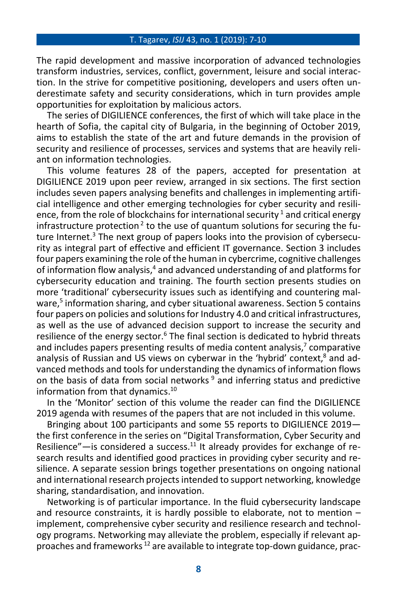#### T. Tagarev, *ISIJ* 43, no. 1 (2019): 7-10

The rapid development and massive incorporation of advanced technologies transform industries, services, conflict, government, leisure and social interaction. In the strive for competitive positioning, developers and users often underestimate safety and security considerations, which in turn provides ample opportunities for exploitation by malicious actors.

The series of DIGILIENCE conferences, the first of which will take place in the hearth of Sofia, the capital city of Bulgaria, in the beginning of October 2019, aims to establish the state of the art and future demands in the provision of security and resilience of processes, services and systems that are heavily reliant on information technologies.

This volume features 28 of the papers, accepted for presentation at DIGILIENCE 2019 upon peer review, arranged in six sections. The first section includes seven papers analysing benefits and challenges in implementing artificial intelligence and other emerging technologies for cyber security and resilience, from the role of blockchains for international security<sup>1</sup> and critical energy infrastructure protection<sup>2</sup> to the use of quantum solutions for securing the future Internet.<sup>3</sup> The next group of papers looks into the provision of cybersecurity as integral part of effective and efficient IT governance. Section 3 includes four papers examining the role of the human in cybercrime, cognitive challenges of information flow analysis,<sup>4</sup> and advanced understanding of and platforms for cybersecurity education and training. The fourth section presents studies on more 'traditional' cybersecurity issues such as identifying and countering malware, 5 information sharing, and cyber situational awareness. Section 5 contains four papers on policies and solutions for Industry 4.0 and critical infrastructures, as well as the use of advanced decision support to increase the security and resilience of the energy sector.<sup>6</sup> The final section is dedicated to hybrid threats and includes papers presenting results of media content analysis, 7 comparative analysis of Russian and US views on cyberwar in the 'hybrid' context,<sup>8</sup> and advanced methods and tools for understanding the dynamics of information flows on the basis of data from social networks  $9$  and inferring status and predictive information from that dynamics. 10

In the 'Monitor' section of this volume the reader can find the DIGILIENCE 2019 agenda with resumes of the papers that are not included in this volume.

Bringing about 100 participants and some 55 reports to DIGILIENCE 2019 the first conference in the series on "Digital Transformation, Cyber Security and Resilience"—is considered a success.<sup>11</sup> It already provides for exchange of research results and identified good practices in providing cyber security and resilience. A separate session brings together presentations on ongoing national and international research projectsintended to support networking, knowledge sharing, standardisation, and innovation.

Networking is of particular importance. In the fluid cybersecurity landscape and resource constraints, it is hardly possible to elaborate, not to mention – implement, comprehensive cyber security and resilience research and technology programs. Networking may alleviate the problem, especially if relevant approaches and frameworks <sup>12</sup> are available to integrate top-down guidance, prac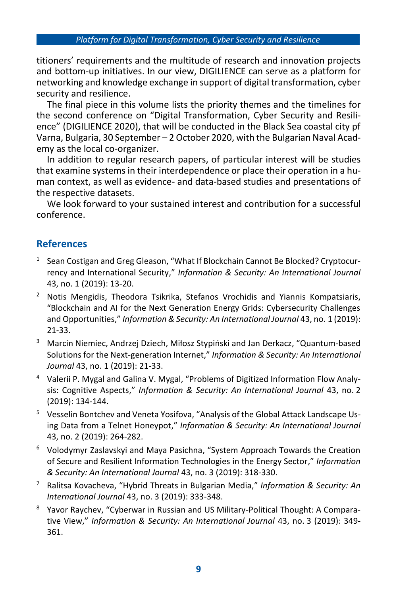titioners' requirements and the multitude of research and innovation projects and bottom-up initiatives. In our view, DIGILIENCE can serve as a platform for networking and knowledge exchange in support of digital transformation, cyber security and resilience.

The final piece in this volume lists the priority themes and the timelines for the second conference on "Digital Transformation, Cyber Security and Resilience" (DIGILIENCE 2020), that will be conducted in the Black Sea coastal city pf Varna, Bulgaria, 30 September – 2 October 2020, with the Bulgarian Naval Academy as the local co-organizer.

In addition to regular research papers, of particular interest will be studies that examine systems in their interdependence or place their operation in a human context, as well as evidence- and data-based studies and presentations of the respective datasets.

We look forward to your sustained interest and contribution for a successful conference.

# **References**

- <sup>1</sup> Sean Costigan and Greg Gleason, "What If Blockchain Cannot Be Blocked? Cryptocurrency and International Security," *Information & Security: An International Journal* 43, no. 1 (2019): 13-20.
- <sup>2</sup> Notis Mengidis, Theodora Tsikrika, Stefanos Vrochidis and Yiannis Kompatsiaris, "Blockchain and AI for the Next Generation Energy Grids: Cybersecurity Challenges and Opportunities," *Information & Security: An International Journal* 43, no. 1 (2019): 21-33.
- <sup>3</sup> Marcin Niemiec, Andrzej Dziech, Miłosz Stypiński and Jan Derkacz, "Quantum-based Solutions for the Next-generation Internet," *Information & Security: An International Journal* 43, no. 1 (2019): 21-33.
- <sup>4</sup> Valerii P. Mygal and Galina V. Mygal, "Problems of Digitized Information Flow Analysis: Cognitive Aspects," *Information & Security: An International Journal* 43, no. 2 (2019): 134-144.
- <sup>5</sup> Vesselin Bontchev and Veneta Yosifova, "Analysis of the Global Attack Landscape Using Data from a Telnet Honeypot," *Information & Security: An International Journal* 43, no. 2 (2019): 264-282.
- <sup>6</sup> Volodymyr Zaslavskyi and Maya Pasichna, "System Approach Towards the Creation of Secure and Resilient Information Technologies in the Energy Sector," *Information & Security: An International Journal* 43, no. 3 (2019): 318-330.
- <sup>7</sup> Ralitsa Kovacheva, "Hybrid Threats in Bulgarian Media," *Information & Security: An International Journal* 43, no. 3 (2019): 333-348.
- <sup>8</sup> Yavor Raychev, "Cyberwar in Russian and US Military-Political Thought: A Comparative View," *Information & Security: An International Journal* 43, no. 3 (2019): 349- 361.